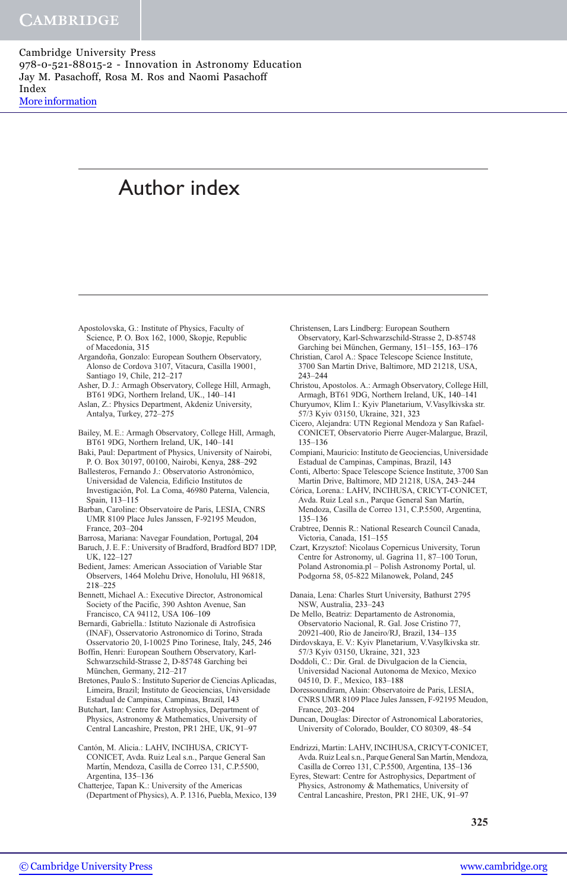# Author index

- Apostolovska, G.: Institute of Physics, Faculty of Science, P. O. Box 162, 1000, Skopje, Republic of Macedonia, 315
- Argandoña, Gonzalo: European Southern Observatory, Alonso de Cordova 3107, Vitacura, Casilla 19001, Santiago 19, Chile, 212–217
- Asher, D. J.: Armagh Observatory, College Hill, Armagh, BT61 9DG, Northern Ireland, UK., 140–141

Aslan, Z.: Physics Department, Akdeniz University, Antalya, Turkey, 272–275

- Bailey, M. E.: Armagh Observatory, College Hill, Armagh, BT61 9DG, Northern Ireland, UK, 140–141
- Baki, Paul: Department of Physics, University of Nairobi, P. O. Box 30197, 00100, Nairobi, Kenya, 288–292
- Ballesteros, Fernando J.: Observatorio Astronómico, Universidad de Valencia, Edificio Institutos de Investigación, Pol. La Coma, 46980 Paterna, Valencia, Spain, 113–115
- Barban, Caroline: Observatoire de Paris, LESIA, CNRS UMR 8109 Place Jules Janssen, F-92195 Meudon, France, 203–204
- Barrosa, Mariana: Navegar Foundation, Portugal, 204 Baruch, J. E. F.: University of Bradford, Bradford BD7 1DP,
- UK, 122–127 Bedient, James: American Association of Variable Star
- Observers, 1464 Molehu Drive, Honolulu, HI 96818, 218–225
- Bennett, Michael A.: Executive Director, Astronomical Society of the Pacific, 390 Ashton Avenue, San Francisco, CA 94112, USA 106–109
- Bernardi, Gabriella.: Istituto Nazionale di Astrofisica (INAF), Osservatorio Astronomico di Torino, Strada Osservatorio 20, I-10025 Pino Torinese, Italy, 245, 246
- Boffin, Henri: European Southern Observatory, Karl-Schwarzschild-Strasse 2, D-85748 Garching bei München, Germany, 212-217
- Bretones, Paulo S.: Instituto Superior de Ciencias Aplicadas, Limeira, Brazil; Instituto de Geociencias, Universidade Estadual de Campinas, Campinas, Brazil, 143
- Butchart, Ian: Centre for Astrophysics, Department of Physics, Astronomy & Mathematics, University of Central Lancashire, Preston, PR1 2HE, UK, 91–97
- Cantón, M. Alicia.: LAHV, INCIHUSA, CRICYT-CONICET, Avda. Ruiz Leal s.n., Parque General San Martín, Mendoza, Casilla de Correo 131, C.P.5500, Argentina, 135–136
- Chatterjee, Tapan K.: University of the Americas (Department of Physics), A. P. 1316, Puebla, Mexico, 139
- Christensen, Lars Lindberg: European Southern Observatory, Karl-Schwarzschild-Strasse 2, D-85748 Garching bei München, Germany, 151-155, 163-176
- Christian, Carol A.: Space Telescope Science Institute, 3700 San Martin Drive, Baltimore, MD 21218, USA, 243–244
- Christou, Apostolos. A.: Armagh Observatory, College Hill, Armagh, BT61 9DG, Northern Ireland, UK, 140–141
- Churyumov, Klim I.: Kyiv Planetarium, V.Vasylkivska str. 57/3 Kyiv 03150, Ukraine, 321, 323
- Cicero, Alejandra: UTN Regional Mendoza y San Rafael-CONICET, Observatorio Pierre Auger-Malargue, Brazil, 135–136
- Compiani, Mauricio: Instituto de Geociencias, Universidade Estadual de Campinas, Campinas, Brazil, 143
- Conti, Alberto: Space Telescope Science Institute, 3700 San Martin Drive, Baltimore, MD 21218, USA, 243–244
- Córica, Lorena.: LAHV, INCIHUSA, CRICYT-CONICET, Avda. Ruiz Leal s.n., Parque General San Martín, Mendoza, Casilla de Correo 131, C.P.5500, Argentina, 135–136
- Crabtree, Dennis R.: National Research Council Canada, Victoria, Canada, 151–155
- Czart, Krzysztof: Nicolaus Copernicus University, Torun Centre for Astronomy, ul. Gagrina 11, 87–100 Torun, Poland Astronomia.pl – Polish Astronomy Portal, ul. Podgorna 58, 05-822 Milanowek, Poland, 245
- Danaia, Lena: Charles Sturt University, Bathurst 2795 NSW, Australia, 233–243
- De Mello, Beatriz: Departamento de Astronomia, Observatorio Nacional, R. Gal. Jose Cristino 77, 20921-400, Rio de Janeiro/RJ, Brazil, 134–135
- Dirdovskaya, E. V.: Kyiv Planetarium, V.Vasylkivska str. 57/3 Kyiv 03150, Ukraine, 321, 323
- Doddoli, C.: Dir. Gral. de Divulgacion de la Ciencia, Universidad Nacional Autonoma de Mexico, Mexico 04510, D. F., Mexico, 183–188
- Doressoundiram, Alain: Observatoire de Paris, LESIA, CNRS UMR 8109 Place Jules Janssen, F-92195 Meudon, France, 203–204
- Duncan, Douglas: Director of Astronomical Laboratories, University of Colorado, Boulder, CO 80309, 48–54
- Endrizzi, Martin: LAHV, INCIHUSA, CRICYT-CONICET, Avda. Ruiz Leal s.n., Parque General San Martín, Mendoza, Casilla de Correo 131, C.P.5500, Argentina, 135–136
- Eyres, Stewart: Centre for Astrophysics, Department of Physics, Astronomy & Mathematics, University of Central Lancashire, Preston, PR1 2HE, UK, 91–97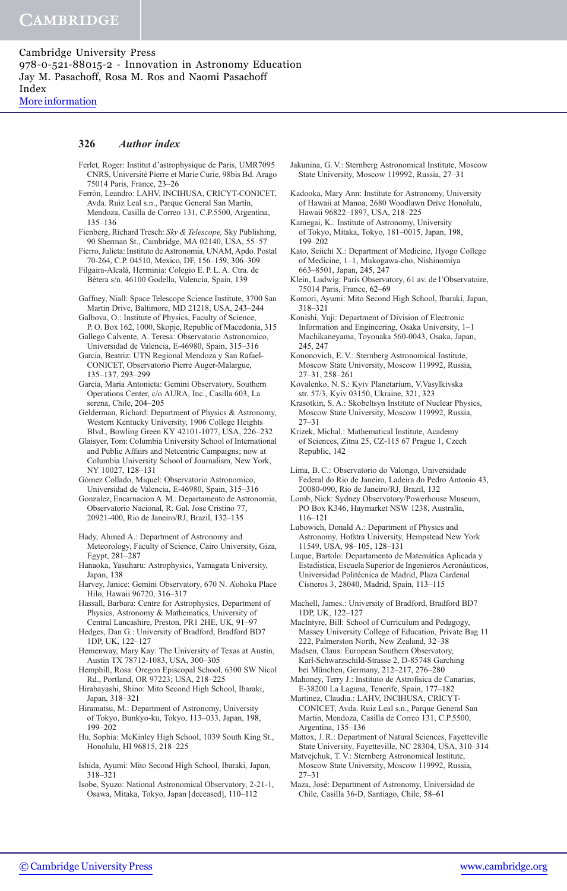Ferlet, Roger: Institut d'astrophysique de Paris, UMR7095

#### 326 Author index

- CNRS, Universite´ Pierre et Marie Curie, 98bis Bd. Arago 75014 Paris, France, 23–26 Ferrón, Leandro: LAHV, INCIHUSA, CRICYT-CONICET, Avda. Ruiz Leal s.n., Parque General San Martín, Mendoza, Casilla de Correo 131, C.P.5500, Argentina, 135–136 Fienberg, Richard Tresch: Sky & Telescope, Sky Publishing, 90 Sherman St., Cambridge, MA 02140, USA, 55–57 Fierro, Julieta: Instituto de Astronomía, UNAM, Apdo. Postal 70-264, C.P. 04510, Mexico, DF, 156–159, 306–309 Filgaira-Alcala´, Herminia: Colegio E. P. L. A. Ctra. de Bétera s/n. 46100 Godella, Valencia, Spain, 139 Gaffney, Niall: Space Telescope Science Institute, 3700 San Martin Drive, Baltimore, MD 21218, USA, 243–244 Galbova, O.: Institute of Physics, Faculty of Science, P. O. Box 162, 1000, Skopje, Republic of Macedonia, 315 Gallego Calvente, A. Teresa: Observatorio Astronomico, Universidad de Valencia, E-46980, Spain, 315–316 García, Beatriz: UTN Regional Mendoza y San Rafael-CONICET, Observatorio Pierre Auger-Malargue, 135–137, 293–299 García, Maria Antonieta: Gemini Observatory, Southern Operations Center, c/o AURA, Inc., Casilla 603, La serena, Chile, 204–205 Gelderman, Richard: Department of Physics & Astronomy, Western Kentucky University, 1906 College Heights Blvd., Bowling Green KY 42101-1077, USA, 226–232 Glaisyer, Tom: Columbia University School of International and Public Affairs and Netcentric Campaigns; now at Columbia University School of Journalism, New York, NY 10027, 128–131 Gómez Collado, Miquel: Observatorio Astronomico, Universidad de Valencia, E-46980, Spain, 315–316 Gonzalez, Encarnacion A. M.: Departamento de Astronomia, Observatorio Nacional, R. Gal. Jose Cristino 77, 20921-400, Rio de Janeiro/RJ, Brazil, 132–135 Hady, Ahmed A.: Department of Astronomy and Meteorology, Faculty of Science, Cairo University, Giza, Egypt, 281–287 Hanaoka, Yasuharu: Astrophysics, Yamagata University, Japan, 138 Harvey, Janice: Gemini Observatory, 670 N. A'ohoku Place Hilo, Hawaii 96720, 316–317 Hassall, Barbara: Centre for Astrophysics, Department of Physics, Astronomy & Mathematics, University of Central Lancashire, Preston, PR1 2HE, UK, 91–97 Hedges, Dan G.: University of Bradford, Bradford BD7 1DP, UK, 122–127 Hemenway, Mary Kay: The University of Texas at Austin, Austin TX 78712-1083, USA, 300–305 Hemphill, Rosa: Oregon Episcopal School, 6300 SW Nicol Rd., Portland, OR 97223; USA, 218–225 Hirabayashi, Shino: Mito Second High School, Ibaraki, Japan, 318–321 Hiramatsu, M.: Department of Astronomy, University of Tokyo, Bunkyo-ku, Tokyo, 113–033, Japan, 198, 199–202 Hu, Sophia: McKinley High School, 1039 South King St., Honolulu, HI 96815, 218–225
- Ishida, Ayumi: Mito Second High School, Ibaraki, Japan, 318–321
- Isobe, Syuzo: National Astronomical Observatory, 2-21-1, Osawa, Mitaka, Tokyo, Japan [deceased], 110–112
- Jakunina, G. V.: Sternberg Astronomical Institute, Moscow State University, Moscow 119992, Russia, 27–31
- Kadooka, Mary Ann: Institute for Astronomy, University of Hawaii at Manoa, 2680 Woodlawn Drive Honolulu, Hawaii 96822–1897, USA, 218–225
- Kamegai, K.: Institute of Astronomy, University of Tokyo, Mitaka, Tokyo, 181–0015, Japan, 198, 199–202
- Kato, Seiichi X.: Department of Medicine, Hyogo College of Medicine, 1–1, Mukogawa-cho, Nishinomiya 663–8501, Japan, 245, 247
- Klein, Ludwig: Paris Observatory, 61 av. de l'Observatoire, 75014 Paris, France, 62–69
- Komori, Ayumi: Mito Second High School, Ibaraki, Japan, 318–321
- Konishi, Yuji: Department of Division of Electronic Information and Engineering, Osaka University, 1–1 Machikaneyama, Toyonaka 560-0043, Osaka, Japan, 245, 247
- Kononovich, E. V.: Sternberg Astronomical Institute, Moscow State University, Moscow 119992, Russia, 27–31, 258–261
- Kovalenko, N. S.: Kyiv Planetarium, V.Vasylkivska str. 57/3, Kyiv 03150, Ukraine, 321, 323
- Krasotkin, S. A.: Skobeltsyn Institute of Nuclear Physics, Moscow State University, Moscow 119992, Russia, 27–31
- Krizek, Michal.: Mathematical Institute, Academy of Sciences, Zitna 25, CZ-115 67 Prague 1, Czech Republic, 142
- Lima, B. C.: Observatorio do Valongo, Universidade Federal do Rio de Janeiro, Ladeira do Pedro Antonio 43, 20080-090, Rio de Janeiro/RJ, Brazil, 132
- Lomb, Nick: Sydney Observatory/Powerhouse Museum, PO Box K346, Haymarket NSW 1238, Australia, 116–121
- Lubowich, Donald A.: Department of Physics and Astronomy, Hofstra University, Hempstead New York 11549, USA, 98–105, 128–131

Luque, Bartolo: Departamento de Matemática Aplicada y Estadística, Escuela Superior de Ingenieros Aeronáuticos, Universidad Politécnica de Madrid, Plaza Cardenal Cisneros 3, 28040, Madrid, Spain, 113–115

- Machell, James.: University of Bradford, Bradford BD7 1DP, UK, 122–127
- MacIntyre, Bill: School of Curriculum and Pedagogy, Massey University College of Education, Private Bag 11 222, Palmerston North, New Zealand, 32–38
- Madsen, Claus: European Southern Observatory, Karl-Schwarzschild-Strasse 2, D-85748 Garching bei München, Germany, 212-217, 276-280
- Mahoney, Terry J.: Instituto de Astrofisica de Canarias, E-38200 La Laguna, Tenerife, Spain, 177–182
- Martinez, Claudia.: LAHV, INCIHUSA, CRICYT-CONICET, Avda. Ruiz Leal s.n., Parque General San Martín, Mendoza, Casilla de Correo 131, C.P.5500, Argentina, 135–136
- Mattox, J. R.: Department of Natural Sciences, Fayetteville State University, Fayetteville, NC 28304, USA, 310–314
- Matvejchuk, T. V.: Sternberg Astronomical Institute, Moscow State University, Moscow 119992, Russia, 27–31
- Maza, José: Department of Astronomy, Universidad de Chile, Casilla 36-D, Santiago, Chile, 58–61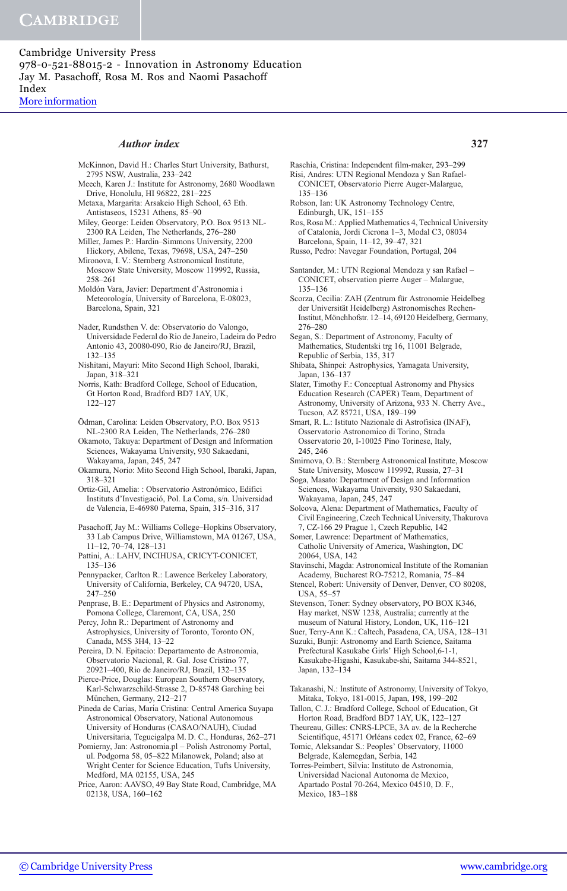# Author index 327

- McKinnon, David H.: Charles Sturt University, Bathurst, 2795 NSW, Australia, 233–242 Meech, Karen J.: Institute for Astronomy, 2680 Woodlawn
- Drive, Honolulu, HI 96822, 281–225 Metaxa, Margarita: Arsakeio High School, 63 Eth.
- Antistaseos, 15231 Athens, 85–90
- Miley, George: Leiden Observatory, P.O. Box 9513 NL-2300 RA Leiden, The Netherlands, 276–280
- Miller, James P.: Hardin–Simmons University, 2200 Hickory, Abilene, Texas, 79698, USA, 247–250
- Mironova, I. V.: Sternberg Astronomical Institute, Moscow State University, Moscow 119992, Russia, 258–261
- Moldón Vara, Javier: Department d'Astronomia i Meteorología, University of Barcelona, E-08023, Barcelona, Spain, 321
- Nader, Rundsthen V. de: Observatorio do Valongo, Universidade Federal do Rio de Janeiro, Ladeira do Pedro Antonio 43, 20080-090, Rio de Janeiro/RJ, Brazil, 132–135
- Nishitani, Mayuri: Mito Second High School, Ibaraki, Japan, 318–321
- Norris, Kath: Bradford College, School of Education, Gt Horton Road, Bradford BD7 1AY, UK, 122–127
- Ödman, Carolina: Leiden Observatory, P.O. Box 9513 NL-2300 RA Leiden, The Netherlands, 276–280
- Okamoto, Takuya: Department of Design and Information Sciences, Wakayama University, 930 Sakaedani, Wakayama, Japan, 245, 247
- Okamura, Norio: Mito Second High School, Ibaraki, Japan, 318–321
- Ortiz-Gil, Amelia: : Observatorio Astronómico, Edifici Instituts d'Investigació, Pol. La Coma, s/n. Universidad de Valencia, E-46980 Paterna, Spain, 315–316, 317
- Pasachoff, Jay M.: Williams College–Hopkins Observatory, 33 Lab Campus Drive, Williamstown, MA 01267, USA, 11–12, 70–74, 128–131
- Pattini, A.: LAHV, INCIHUSA, CRICYT-CONICET, 135–136
- Pennypacker, Carlton R.: Lawence Berkeley Laboratory, University of California, Berkeley, CA 94720, USA, 247–250
- Penprase, B. E.: Department of Physics and Astronomy, Pomona College, Claremont, CA, USA, 250
- Percy, John R.: Department of Astronomy and Astrophysics, University of Toronto, Toronto ON, Canada, M5S 3H4, 13–22
- Pereira, D. N. Epitacio: Departamento de Astronomia, Observatorio Nacional, R. Gal. Jose Cristino 77, 20921–400, Rio de Janeiro/RJ, Brazil, 132–135
- Pierce-Price, Douglas: European Southern Observatory, Karl-Schwarzschild-Strasse 2, D-85748 Garching bei München, Germany, 212-217
- Pineda de Carías, María Cristina: Central America Suyapa Astronomical Observatory, National Autonomous University of Honduras (CASAO/NAUH), Ciudad Universitaria, Tegucigalpa M. D. C., Honduras, 262–271
- Pomierny, Jan: Astronomia.pl Polish Astronomy Portal, ul. Podgorna 58, 05–822 Milanowek, Poland; also at Wright Center for Science Education, Tufts University, Medford, MA 02155, USA, 245
- Price, Aaron: AAVSO, 49 Bay State Road, Cambridge, MA 02138, USA, 160–162
- Raschia, Cristina: Independent film-maker, 293–299 Risi, Andres: UTN Regional Mendoza y San Rafael-
- CONICET, Observatorio Pierre Auger-Malargue, 135–136
- Robson, Ian: UK Astronomy Technology Centre, Edinburgh, UK, 151–155
- Ros, Rosa M.: Applied Mathematics 4, Technical University of Catalonia, Jordi Cicrona 1–3, Modal C3, 08034 Barcelona, Spain, 11–12, 39–47, 321
- Russo, Pedro: Navegar Foundation, Portugal, 204
- Santander, M.: UTN Regional Mendoza y san Rafael CONICET, observation pierre Auger – Malargue, 135–136
- Scorza, Cecilia: ZAH (Zentrum für Astronomie Heidelbeg der Universität Heidelberg) Astronomisches Rechen-Institut, Mönchhofstr. 12-14, 69120 Heidelberg, Germany, 276–280
- Segan, S.: Department of Astronomy, Faculty of Mathematics, Studentski trg 16, 11001 Belgrade, Republic of Serbia, 135, 317
- Shibata, Shinpei: Astrophysics, Yamagata University, Japan, 136–137
- Slater, Timothy F.: Conceptual Astronomy and Physics Education Research (CAPER) Team, Department of Astronomy, University of Arizona, 933 N. Cherry Ave., Tucson, AZ 85721, USA, 189–199
- Smart, R. L.: Istituto Nazionale di Astrofisica (INAF), Osservatorio Astronomico di Torino, Strada Osservatorio 20, I-10025 Pino Torinese, Italy, 245, 246
- Smirnova, O. B.: Sternberg Astronomical Institute, Moscow State University, Moscow 119992, Russia, 27–31

Soga, Masato: Department of Design and Information Sciences, Wakayama University, 930 Sakaedani, Wakayama, Japan, 245, 247

- Solcova, Alena: Department of Mathematics, Faculty of Civil Engineering, Czech Technical University, Thakurova 7, CZ-166 29 Prague 1, Czech Republic, 142
- Somer, Lawrence: Department of Mathematics, Catholic University of America, Washington, DC 20064, USA, 142
- Stavinschi, Magda: Astronomical Institute of the Romanian Academy, Bucharest RO-75212, Romania, 75–84
- Stencel, Robert: University of Denver, Denver, CO 80208, USA, 55–57
- Stevenson, Toner: Sydney observatory, PO BOX K346, Hay market, NSW 1238, Australia; currently at the museum of Natural History, London, UK, 116–121
- Suer, Terry-Ann K.: Caltech, Pasadena, CA, USA, 128–131
- Suzuki, Bunji: Astronomy and Earth Science, Saitama Prefectural Kasukabe Girls' High School, 6-1-1, Kasukabe-Higashi, Kasukabe-shi, Saitama 344-8521, Japan, 132–134
- Takanashi, N.: Institute of Astronomy, University of Tokyo, Mitaka, Tokyo, 181-0015, Japan, 198, 199–202
- Tallon, C. J.: Bradford College, School of Education, Gt Horton Road, Bradford BD7 1AY, UK, 122–127
- Theureau, Gilles: CNRS-LPCE, 3A av. de la Recherche Scientifique, 45171 Orléans cedex 02, France, 62-69 Tomic, Aleksandar S.: Peoples' Observatory, 11000
- Belgrade, Kalemegdan, Serbia, 142 Torres-Peimbert, Silvia: Instituto de Astronomia,
- Universidad Nacional Autonoma de Mexico, Apartado Postal 70-264, Mexico 04510, D. F., Mexico, 183–188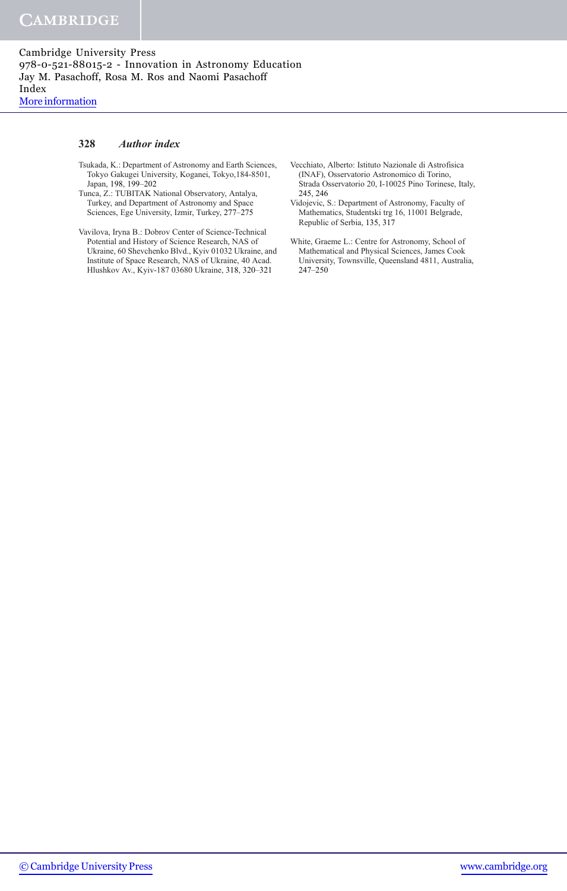## 328 Author index

- Tsukada, K.: Department of Astronomy and Earth Sciences, Tokyo Gakugei University, Koganei, Tokyo,184-8501, Japan, 198, 199–202
- Tunca, Z.: TUBITAK National Observatory, Antalya, Turkey, and Department of Astronomy and Space Sciences, Ege University, Izmir, Turkey, 277–275
- Vavilova, Iryna B.: Dobrov Center of Science-Technical Potential and History of Science Research, NAS of Ukraine, 60 Shevchenko Blvd., Kyiv 01032 Ukraine, and Institute of Space Research, NAS of Ukraine, 40 Acad. Hlushkov Av., Kyiv-187 03680 Ukraine, 318, 320–321
- Vecchiato, Alberto: Istituto Nazionale di Astrofisica (INAF), Osservatorio Astronomico di Torino, Strada Osservatorio 20, I-10025 Pino Torinese, Italy, 245, 246
- Vidojevic, S.: Department of Astronomy, Faculty of Mathematics, Studentski trg 16, 11001 Belgrade, Republic of Serbia, 135, 317
- White, Graeme L.: Centre for Astronomy, School of Mathematical and Physical Sciences, James Cook University, Townsville, Queensland 4811, Australia, 247–250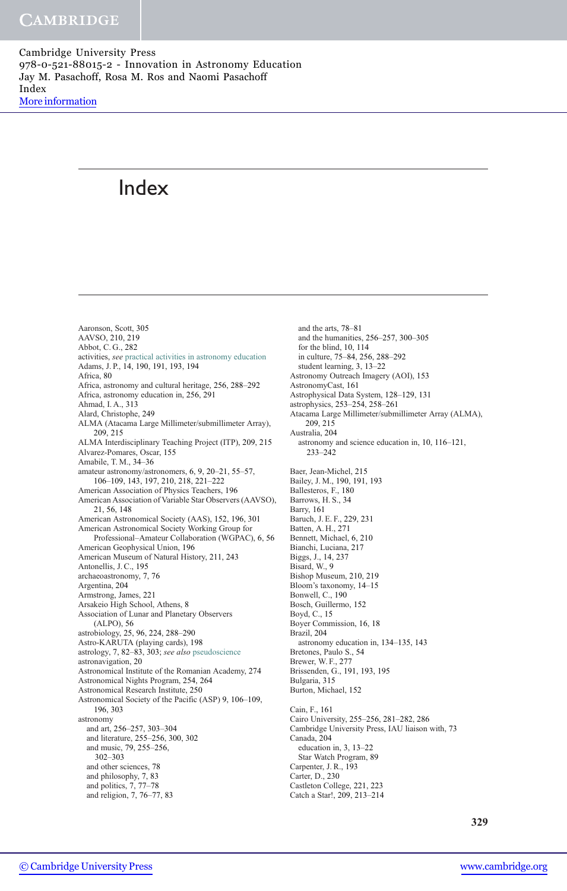# Index

Aaronson, Scott, 305 AAVSO, 210, 219 Abbot, C. G., 282 activities, see practical activities in astronomy education Adams, J. P., 14, 190, 191, 193, 194 Africa, 80 Africa, astronomy and cultural heritage, 256, 288–292 Africa, astronomy education in, 256, 291 Ahmad, I. A., 313 Alard, Christophe, 249 ALMA (Atacama Large Millimeter/submillimeter Array), 209, 215 ALMA Interdisciplinary Teaching Project (ITP), 209, 215 Alvarez-Pomares, Oscar, 155 Amabile, T. M., 34–36 amateur astronomy/astronomers, 6, 9, 20–21, 55–57, 106–109, 143, 197, 210, 218, 221–222 American Association of Physics Teachers, 196 American Association of Variable Star Observers (AAVSO), 21, 56, 148 American Astronomical Society (AAS), 152, 196, 301 American Astronomical Society Working Group for Professional–Amateur Collaboration (WGPAC), 6, 56 American Geophysical Union, 196 American Museum of Natural History, 211, 243 Antonellis, J. C., 195 archaeoastronomy, 7, 76 Argentina, 204 Armstrong, James, 221 Arsakeio High School, Athens, 8 Association of Lunar and Planetary Observers (ALPO), 56 astrobiology, 25, 96, 224, 288–290 Astro-KARUTA (playing cards), 198 astrology, 7, 82–83, 303; see also pseudoscience astronavigation, 20 Astronomical Institute of the Romanian Academy, 274 Astronomical Nights Program, 254, 264 Astronomical Research Institute, 250 Astronomical Society of the Pacific (ASP) 9, 106–109, 196, 303 astronomy and art, 256–257, 303–304 and literature, 255–256, 300, 302 and music, 79, 255–256, 302–303 and other sciences, 78 and philosophy, 7, 83 and politics, 7, 77–78 and religion, 7, 76–77, 83

and the arts, 78–81 and the humanities, 256–257, 300–305 for the blind, 10, 114 in culture, 75–84, 256, 288–292 student learning, 3, 13–22 Astronomy Outreach Imagery (AOI), 153 AstronomyCast, 161 Astrophysical Data System, 128–129, 131 astrophysics, 253–254, 258–261 Atacama Large Millimeter/submillimeter Array (ALMA), 209, 215 Australia, 204 astronomy and science education in, 10, 116–121, 233–242 Baer, Jean-Michel, 215 Bailey, J. M., 190, 191, 193 Ballesteros, F., 180 Barrows, H. S., 34 Barry, 161 Baruch, J. E. F., 229, 231 Batten, A. H., 271 Bennett, Michael, 6, 210 Bianchi, Luciana, 217 Biggs, J., 14, 237 Bisard, W., 9 Bishop Museum, 210, 219 Bloom's taxonomy, 14–15 Bonwell, C., 190 Bosch, Guillermo, 152 Boyd, C., 15 Boyer Commission, 16, 18 Brazil, 204 astronomy education in, 134–135, 143 Bretones, Paulo S., 54 Brewer, W. F., 277 Brissenden, G., 191, 193, 195 Bulgaria, 315 Burton, Michael, 152 Cain, F., 161 Cairo University, 255–256, 281–282, 286 Cambridge University Press, IAU liaison with, 73 Canada, 204 education in, 3, 13–22 Star Watch Program, 89 Carpenter, J. R., 193 Carter, D., 230 Castleton College, 221, 223 Catch a Star!, 209, 213–214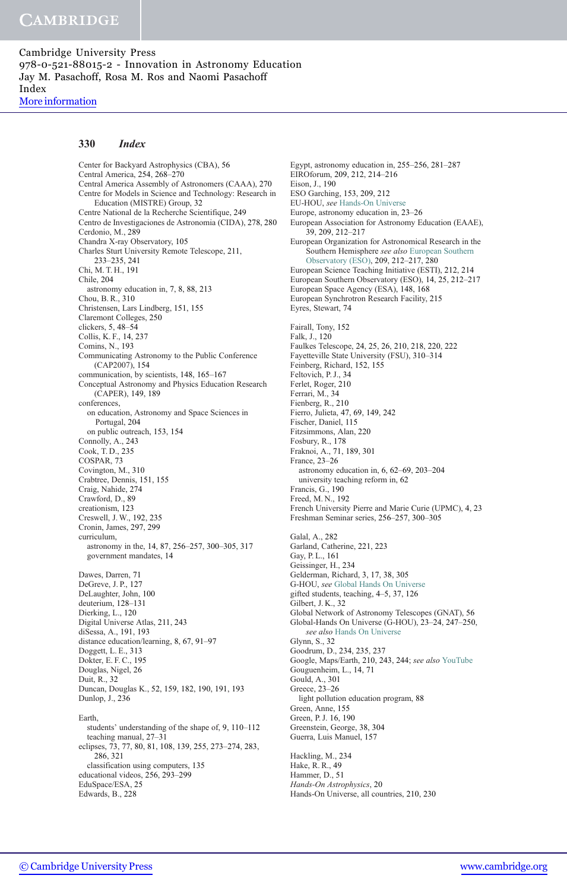#### 330 Index

Center for Backyard Astrophysics (CBA), 56 Central America, 254, 268–270 Central America Assembly of Astronomers (CAAA), 270 Centre for Models in Science and Technology: Research in Education (MISTRE) Group, 32 Centre National de la Recherche Scientifique, 249 Centro de Investigaciones de Astronomia (CIDA), 278, 280 Cerdonio, M., 289 Chandra X-ray Observatory, 105 Charles Sturt University Remote Telescope, 211, 233–235, 241 Chi, M. T. H., 191 Chile, 204 astronomy education in, 7, 8, 88, 213 Chou, B. R., 310 Christensen, Lars Lindberg, 151, 155 Claremont Colleges, 250 clickers, 5, 48–54 Collis, K. F., 14, 237 Comins, N., 193 Communicating Astronomy to the Public Conference (CAP2007), 154 communication, by scientists, 148, 165–167 Conceptual Astronomy and Physics Education Research (CAPER), 149, 189 conferences, on education, Astronomy and Space Sciences in Portugal, 204 on public outreach, 153, 154 Connolly, A., 243 Cook, T. D., 235 COSPAR, 73 Covington, M., 310 Crabtree, Dennis, 151, 155 Craig, Nahide, 274 Crawford, D., 89 creationism, 123 Creswell, J. W., 192, 235 Cronin, James, 297, 299 curriculum, astronomy in the, 14, 87, 256–257, 300–305, 317 government mandates, 14 Dawes, Darren, 71 DeGreve, J. P., 127 DeLaughter, John, 100 deuterium, 128–131 Dierking, L., 120 Digital Universe Atlas, 211, 243 diSessa, A., 191, 193 distance education/learning, 8, 67, 91–97 Doggett, L. E., 313 Dokter, E. F. C., 195 Douglas, Nigel, 26 Duit, R., 32 Duncan, Douglas K., 52, 159, 182, 190, 191, 193 Dunlop, J., 236 Earth, students' understanding of the shape of, 9, 110–112 teaching manual, 27–31 eclipses, 73, 77, 80, 81, 108, 139, 255, 273–274, 283, 286, 321 classification using computers, 135 educational videos, 256, 293–299 EduSpace/ESA, 25 Edwards, B., 228

Egypt, astronomy education in, 255–256, 281–287 EIROforum, 209, 212, 214–216 Eison, J., 190 ESO Garching, 153, 209, 212 EU-HOU, see Hands-On Universe Europe, astronomy education in, 23–26 European Association for Astronomy Education (EAAE), 39, 209, 212–217 European Organization for Astronomical Research in the Southern Hemisphere see also European Southern Observatory (ESO), 209, 212–217, 280 European Science Teaching Initiative (ESTI), 212, 214 European Southern Observatory (ESO), 14, 25, 212–217 European Space Agency (ESA), 148, 168 European Synchrotron Research Facility, 215 Eyres, Stewart, 74 Fairall, Tony, 152 Falk, J., 120 Faulkes Telescope, 24, 25, 26, 210, 218, 220, 222 Fayetteville State University (FSU), 310–314 Feinberg, Richard, 152, 155 Feltovich, P. J., 34 Ferlet, Roger, 210 Ferrari, M., 34 Fienberg, R., 210 Fierro, Julieta, 47, 69, 149, 242 Fischer, Daniel, 115 Fitzsimmons, Alan, 220 Fosbury, R., 178 Fraknoi, A., 71, 189, 301 France, 23–26 astronomy education in, 6, 62–69, 203–204 university teaching reform in, 62 Francis, G., 190 Freed, M. N., 192 French University Pierre and Marie Curie (UPMC), 4, 23 Freshman Seminar series, 256–257, 300–305 Galal, A., 282 Garland, Catherine, 221, 223 Gay, P. L., 161 Geissinger, H., 234 Gelderman, Richard, 3, 17, 38, 305 G-HOU, see Global Hands On Universe gifted students, teaching, 4–5, 37, 126 Gilbert, J. K., 32 Global Network of Astronomy Telescopes (GNAT), 56 Global-Hands On Universe (G-HOU), 23–24, 247–250, see also Hands On Universe Glynn, S., 32 Goodrum, D., 234, 235, 237 Google, Maps/Earth, 210, 243, 244; see also YouTube Gouguenheim, L., 14, 71 Gould, A., 301 Greece, 23–26 light pollution education program, 88 Green, Anne, 155 Green, P. J. 16, 190 Greenstein, George, 38, 304 Guerra, Luis Manuel, 157 Hackling, M., 234 Hake, R. R., 49 Hammer, D., 51 Hands-On Astrophysics, 20 Hands-On Universe, all countries, 210, 230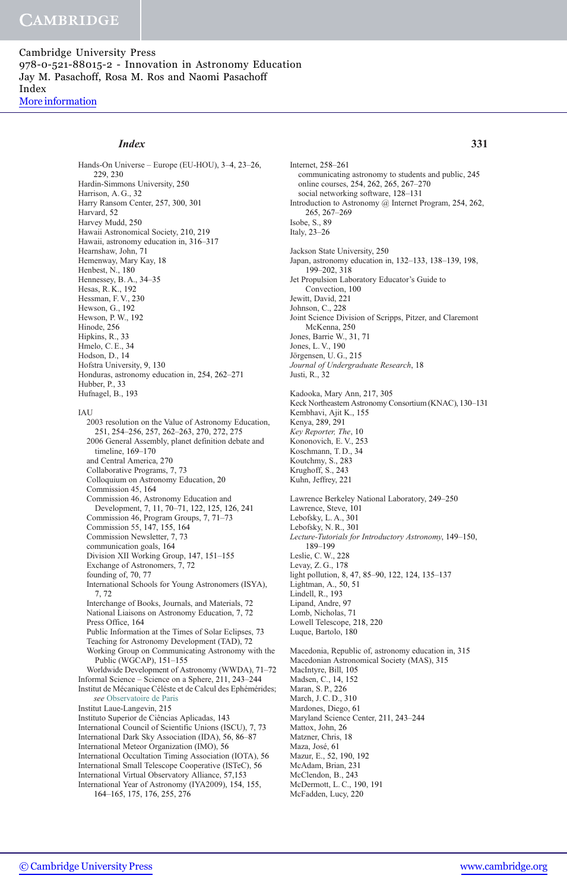# Index 331

Hands-On Universe – Europe (EU-HOU), 3–4, 23–26, 229, 230 Hardin-Simmons University, 250 Harrison, A. G., 32 Harry Ransom Center, 257, 300, 301 Harvard, 52 Harvey Mudd, 250 Hawaii Astronomical Society, 210, 219 Hawaii, astronomy education in, 316–317 Hearnshaw, John, 71 Hemenway, Mary Kay, 18 Henbest, N., 180 Hennessey, B. A., 34–35 Hesas, R. K., 192 Hessman, F. V., 230 Hewson, G., 192 Hewson, P. W., 192 Hinode, 256 Hipkins, R., 33 Hmelo, C. E., 34 Hodson, D., 14 Hofstra University, 9, 130 Honduras, astronomy education in, 254, 262–271 Hubber, P., 33 Hufnagel, B., 193 IAU 2003 resolution on the Value of Astronomy Education, 251, 254–256, 257, 262–263, 270, 272, 275 2006 General Assembly, planet definition debate and timeline, 169–170 and Central America, 270 Collaborative Programs, 7, 73 Colloquium on Astronomy Education, 20 Commission 45, 164 Commission 46, Astronomy Education and Development, 7, 11, 70–71, 122, 125, 126, 241 Commission 46, Program Groups, 7, 71–73 Commission 55, 147, 155, 164 Commission Newsletter, 7, 73 communication goals, 164 Division XII Working Group, 147, 151–155 Exchange of Astronomers, 7, 72 founding of, 70, 77 International Schools for Young Astronomers (ISYA), 7, 72 Interchange of Books, Journals, and Materials, 72 National Liaisons on Astronomy Education, 7, 72 Press Office, 164 Public Information at the Times of Solar Eclipses, 73 Teaching for Astronomy Development (TAD), 72 Working Group on Communicating Astronomy with the Public (WGCAP), 151–155 Worldwide Development of Astronomy (WWDA), 71–72 Informal Science – Science on a Sphere, 211, 243–244 Institut de Mécanique Céléste et de Calcul des Ephémérides; see Observatoire de Paris Institut Laue-Langevin, 215 Instituto Superior de Ciências Aplicadas, 143 International Council of Scientific Unions (ISCU), 7, 73 International Dark Sky Association (IDA), 56, 86–87 International Meteor Organization (IMO), 56 International Occultation Timing Association (IOTA), 56 International Small Telescope Cooperative (ISTeC), 56 International Virtual Observatory Alliance, 57,153 International Year of Astronomy (IYA2009), 154, 155,

164–165, 175, 176, 255, 276

Internet, 258–261 communicating astronomy to students and public, 245 online courses, 254, 262, 265, 267–270 social networking software, 128–131 Introduction to Astronomy @ Internet Program, 254, 262, 265, 267–269 Isobe, S., 89 Italy, 23–26 Jackson State University, 250 Japan, astronomy education in, 132–133, 138–139, 198, 199–202, 318 Jet Propulsion Laboratory Educator's Guide to Convection, 100 Jewitt, David, 221 Johnson, C., 228 Joint Science Division of Scripps, Pitzer, and Claremont McKenna, 250 Jones, Barrie W., 31, 71 Jones, L. V., 190 Jörgensen, U. G., 215 Journal of Undergraduate Research, 18 Justi, R., 32 Kadooka, Mary Ann, 217, 305 Keck Northeastern Astronomy Consortium (KNAC), 130–131 Kembhavi, Ajit K., 155 Kenya, 289, 291 Key Reporter, The, 10 Kononovich, E. V., 253 Koschmann, T. D., 34 Koutchmy, S., 283 Krughoff, S., 243 Kuhn, Jeffrey, 221 Lawrence Berkeley National Laboratory, 249–250 Lawrence, Steve, 101 Lebofsky, L. A., 301 Lebofsky, N. R., 301 Lecture-Tutorials for Introductory Astronomy, 149–150, 189–199 Leslie, C. W., 228 Levay, Z. G., 178 light pollution, 8, 47, 85–90, 122, 124, 135–137 Lightman, A., 50, 51 Lindell, R., 193 Lipand, Andre, 97 Lomb, Nicholas, 71 Lowell Telescope, 218, 220 Luque, Bartolo, 180 Macedonia, Republic of, astronomy education in, 315 Macedonian Astronomical Society (MAS), 315 MacIntyre, Bill, 105 Madsen, C., 14, 152 Maran, S. P., 226 March, J. C. D., 310 Mardones, Diego, 61 Maryland Science Center, 211, 243–244 Mattox, John, 26 Matzner, Chris, 18 Maza, José, 61 Mazur, E., 52, 190, 192 McAdam, Brian, 231 McClendon, B., 243 McDermott, L. C., 190, 191

McFadden, Lucy, 220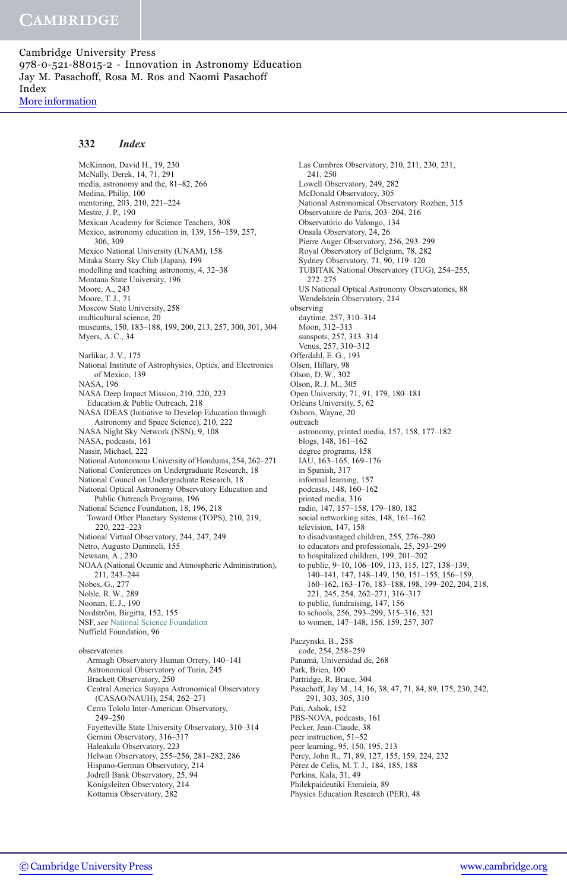## 332 Index

McKinnon, David H., 19, 230 McNally, Derek, 14, 71, 291 media, astronomy and the, 81–82, 266 Medina, Philip, 100 mentoring, 203, 210, 221–224 Mestre, J. P., 190 Mexican Academy for Science Teachers, 308 Mexico, astronomy education in, 139, 156–159, 257, 306, 309 Mexico National University (UNAM), 158 Mitaka Starry Sky Club (Japan), 199 modelling and teaching astronomy, 4, 32–38 Montana State University, 196 Moore, A., 243 Moore, T. J., 71 Moscow State University, 258 multicultural science, 20 museums, 150, 183–188, 199, 200, 213, 257, 300, 301, 304 Myers, A. C., 34 Narlikar, J. V., 175 National Institute of Astrophysics, Optics, and Electronics of Mexico, 139 NASA, 196 NASA Deep Impact Mission, 210, 220, 223 Education & Public Outreach, 218 NASA IDEAS (Initiative to Develop Education through Astronomy and Space Science), 210, 222 NASA Night Sky Network (NSN), 9, 108 NASA, podcasts, 161 Nassir, Michael, 222 National Autonomous University of Honduras, 254, 262–271 National Conferences on Undergraduate Research, 18 National Council on Undergraduate Research, 18 National Optical Astronomy Observatory Education and Public Outreach Programs, 196 National Science Foundation, 18, 196, 218 Toward Other Planetary Systems (TOPS), 210, 219, 220, 222–223 National Virtual Observatory, 244, 247, 249 Netro, Augusto Damineli, 155 Newsam, A., 230 NOAA (National Oceanic and Atmospheric Administration), 211, 243–244 Nobes, G., 277 Noble, R. W., 289 Noonan, E. J., 190 Nordström, Birgitta, 152, 155 NSF, see National Science Foundation Nuffield Foundation, 96 observatories Armagh Observatory Human Orrery, 140–141 Astronomical Observatory of Turin, 245 Brackett Observatory, 250 Central America Suyapa Astronomical Observatory (CASAO/NAUH), 254, 262–271 Cerro Tololo Inter-American Observatory, 249–250 Fayetteville State University Observatory, 310–314 Gemini Observatory, 316–317 Haleakala Observatory, 223 Helwan Observatory, 255–256, 281–282, 286 Hispano-German Observatory, 214 Jodrell Bank Observatory, 25, 94

Las Cumbres Observatory, 210, 211, 230, 231, 241, 250 Lowell Observatory, 249, 282 McDonald Observatory, 305 National Astronomical Observatory Rozhen, 315 Observatoire de Paris, 203–204, 216 Observatório do Valongo, 134 Onsala Observatory, 24, 26 Pierre Auger Observatory, 256, 293–299 Royal Observatory of Belgium, 78, 282 Sydney Observatory, 71, 90, 119–120 TUBITAK National Observatory (TUG), 254–255, 272–275 US National Optical Astronomy Observatories, 88 Wendelstein Observatory, 214 observing daytime, 257, 310–314 Moon, 312–313 sunspots, 257, 313–314 Venus, 257, 310–312 Offerdahl, E. G., 193 Olsen, Hillary, 98 Olson, D. W., 302 Olson, R. J. M., 305 Open University, 71, 91, 179, 180–181 Orléans University, 5, 62 Osborn, Wayne, 20 outreach astronomy, printed media, 157, 158, 177–182 blogs, 148, 161–162 degree programs, 158 IAU, 163–165, 169–176 in Spanish, 317 informal learning, 157 podcasts, 148, 160–162 printed media, 316 radio, 147, 157–158, 179–180, 182 social networking sites, 148, 161–162 television, 147, 158 to disadvantaged children, 255, 276–280 to educators and professionals, 25, 293–299 to hospitalized children, 199, 201–202 to public, 9–10, 106–109, 113, 115, 127, 138–139, 140–141, 147, 148–149, 150, 151–155, 156–159, 160–162, 163–176, 183–188, 198, 199–202, 204, 218, 221, 245, 254, 262–271, 316–317 to public, fundraising, 147, 156 to schools, 256, 293–299, 315–316, 321 to women, 147–148, 156, 159, 257, 307 Paczynski, B., 258 code, 254, 258–259 Panamá, Universidad de, 268 Park, Brien, 100 Partridge, R. Bruce, 304 Pasachoff, Jay M., 14, 16, 38, 47, 71, 84, 89, 175, 230, 242, 291, 303, 305, 310 Pati, Ashok, 152 PBS-NOVA, podcasts, 161 Pecker, Jean-Claude, 38 peer instruction, 51–52 peer learning, 95, 150, 195, 213 Percy, John R., 71, 89, 127, 155, 159, 224, 232 Pérez de Celis, M. T. J., 184, 185, 188 Perkins, Kala, 31, 49 Philekpaideutiki Eteraieia, 89 Physics Education Research (PER), 48

Königsleiten Observatory, 214 Kottamia Observatory, 282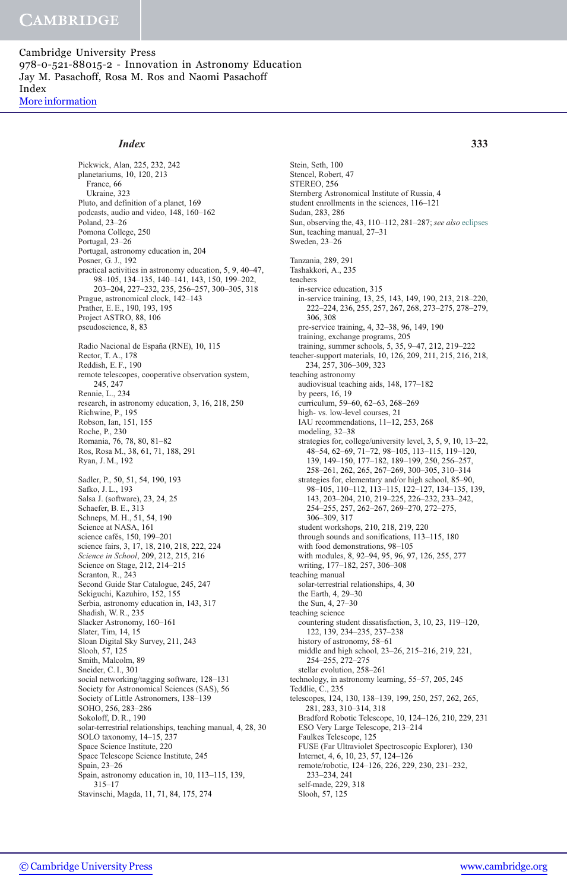# Index 333

Pickwick, Alan, 225, 232, 242 planetariums, 10, 120, 213 France, 66 Ukraine, 323 Pluto, and definition of a planet, 169 podcasts, audio and video, 148, 160–162 Poland, 23–26 Pomona College, 250 Portugal, 23–26 Portugal, astronomy education in, 204 Posner, G. J., 192 practical activities in astronomy education, 5, 9, 40–47, 98–105, 134–135, 140–141, 143, 150, 199–202, 203–204, 227–232, 235, 256–257, 300–305, 318 Prague, astronomical clock, 142–143 Prather, E. E., 190, 193, 195 Project ASTRO, 88, 106 pseudoscience, 8, 83 Radio Nacional de España (RNE), 10, 115 Rector, T. A., 178 Reddish, E. F., 190 remote telescopes, cooperative observation system, 245, 247 Rennie, L., 234 research, in astronomy education, 3, 16, 218, 250 Richwine, P., 195 Robson, Ian, 151, 155 Roche, P., 230 Romania, 76, 78, 80, 81–82 Ros, Rosa M., 38, 61, 71, 188, 291 Ryan, J. M., 192 Sadler, P., 50, 51, 54, 190, 193 Safko, J. L., 193 Salsa J. (software), 23, 24, 25 Schaefer, B. E., 313 Schneps, M. H., 51, 54, 190 Science at NASA, 161 science cafés, 150, 199-201 science fairs, 3, 17, 18, 210, 218, 222, 224 Science in School, 209, 212, 215, 216 Science on Stage, 212, 214–215 Scranton, R., 243 Second Guide Star Catalogue, 245, 247 Sekiguchi, Kazuhiro, 152, 155 Serbia, astronomy education in, 143, 317 Shadish, W. R., 235 Slacker Astronomy, 160–161 Slater, Tim, 14, 15 Sloan Digital Sky Survey, 211, 243 Slooh, 57, 125 Smith, Malcolm, 89 Sneider, C. I., 301 social networking/tagging software, 128–131 Society for Astronomical Sciences (SAS), 56 Society of Little Astronomers, 138–139 SOHO, 256, 283–286 Sokoloff, D. R., 190 solar-terrestrial relationships, teaching manual, 4, 28, 30 SOLO taxonomy, 14–15, 237 Space Science Institute, 220 Space Telescope Science Institute, 245 Spain, 23–26 Spain, astronomy education in, 10, 113–115, 139, 315–17 Stavinschi, Magda, 11, 71, 84, 175, 274

Stein, Seth, 100 Stencel, Robert, 47 STEREO, 256 Sternberg Astronomical Institute of Russia, 4 student enrollments in the sciences, 116–121 Sudan, 283, 286 Sun, observing the, 43, 110–112, 281–287; see also eclipses Sun, teaching manual, 27–31 Sweden, 23–26 Tanzania, 289, 291 Tashakkori, A., 235 teachers in-service education, 315 in-service training, 13, 25, 143, 149, 190, 213, 218–220, 222–224, 236, 255, 257, 267, 268, 273–275, 278–279, 306, 308 pre-service training, 4, 32–38, 96, 149, 190 training, exchange programs, 205 training, summer schools, 5, 35, 9–47, 212, 219–222 teacher-support materials, 10, 126, 209, 211, 215, 216, 218, 234, 257, 306–309, 323 teaching astronomy audiovisual teaching aids, 148, 177–182 by peers, 16, 19 curriculum, 59–60, 62–63, 268–269 high- vs. low-level courses, 21 IAU recommendations, 11–12, 253, 268 modeling, 32–38 strategies for, college/university level, 3, 5, 9, 10, 13–22, 48–54, 62–69, 71–72, 98–105, 113–115, 119–120, 139, 149–150, 177–182, 189–199, 250, 256–257, 258–261, 262, 265, 267–269, 300–305, 310–314 strategies for, elementary and/or high school, 85–90, 98–105, 110–112, 113–115, 122–127, 134–135, 139, 143, 203–204, 210, 219–225, 226–232, 233–242, 254–255, 257, 262–267, 269–270, 272–275, 306–309, 317 student workshops, 210, 218, 219, 220 through sounds and sonifications, 113–115, 180 with food demonstrations, 98–105 with modules, 8, 92–94, 95, 96, 97, 126, 255, 277 writing, 177–182, 257, 306–308 teaching manual solar-terrestrial relationships, 4, 30 the Earth, 4, 29–30 the Sun, 4, 27–30 teaching science countering student dissatisfaction, 3, 10, 23, 119–120, 122, 139, 234–235, 237–238 history of astronomy, 58–61 middle and high school, 23–26, 215–216, 219, 221, 254–255, 272–275 stellar evolution, 258–261 technology, in astronomy learning, 55–57, 205, 245 Teddlie, C., 235 telescopes, 124, 130, 138–139, 199, 250, 257, 262, 265, 281, 283, 310–314, 318 Bradford Robotic Telescope, 10, 124–126, 210, 229, 231 ESO Very Large Telescope, 213–214 Faulkes Telescope, 125 FUSE (Far Ultraviolet Spectroscopic Explorer), 130 Internet, 4, 6, 10, 23, 57, 124–126 remote/robotic, 124–126, 226, 229, 230, 231–232, 233–234, 241 self-made, 229, 318 Slooh, 57, 125